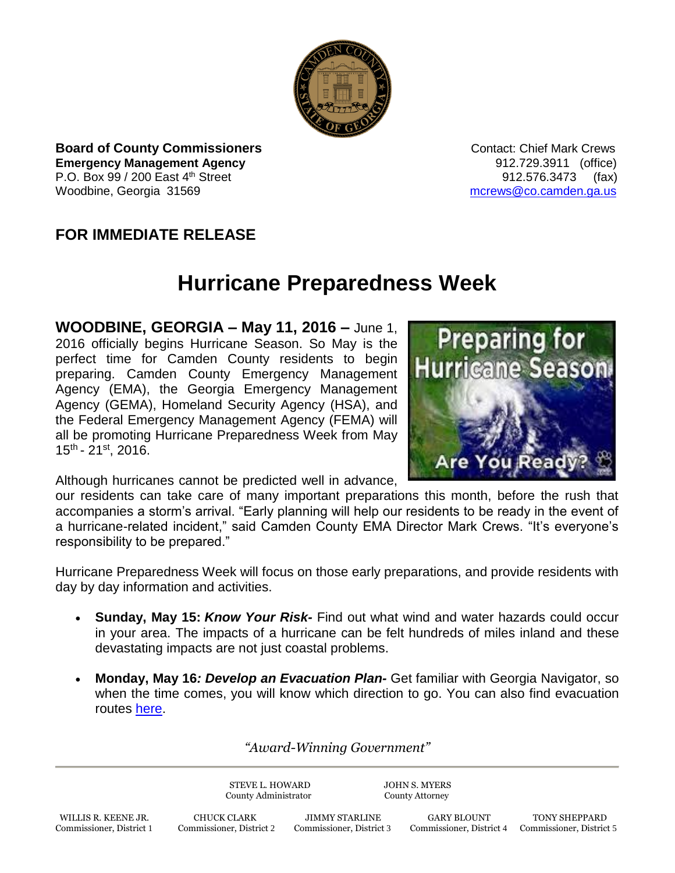

**Board of County Commissioners Contact: Chief Mark Crews Contact: Chief Mark Crews Emergency Management Agency** 912.729.3911 (office) P.O. Box  $99 / 200$  East  $4^{\text{th}}$  Street 912.576.3473 (fax) Woodbine, Georgia 31569 [mcrews@co.camden.ga.us](mailto:mcrews@co.camden.ga.us)

## **FOR IMMEDIATE RELEASE**

## **Hurricane Preparedness Week**

**WOODBINE, GEORGIA – May 11, 2016 –** June 1, 2016 officially begins Hurricane Season. So May is the perfect time for Camden County residents to begin preparing. Camden County Emergency Management Agency (EMA), the Georgia Emergency Management Agency (GEMA), Homeland Security Agency (HSA), and the Federal Emergency Management Agency (FEMA) will all be promoting Hurricane Preparedness Week from May 15<sup>th</sup> - 21<sup>st</sup>, 2016.



Although hurricanes cannot be predicted well in advance,

our residents can take care of many important preparations this month, before the rush that accompanies a storm's arrival. "Early planning will help our residents to be ready in the event of a hurricane-related incident," said Camden County EMA Director Mark Crews. "It's everyone's responsibility to be prepared."

Hurricane Preparedness Week will focus on those early preparations, and provide residents with day by day information and activities.

- **Sunday, May 15:** *Know Your Risk-* Find out what wind and water hazards could occur in your area. The impacts of a hurricane can be felt hundreds of miles inland and these devastating impacts are not just coastal problems.
- **Monday, May 16***: Develop an Evacuation Plan-* Get familiar with Georgia Navigator, so when the time comes, you will know which direction to go. You can also find evacuation routes [here.](http://www.511ga.org/static/extras-hurricane.html)

*"Award-Winning Government"*

STEVE L. HOWARD JOHN S. MYERS County Administrator County Attorney